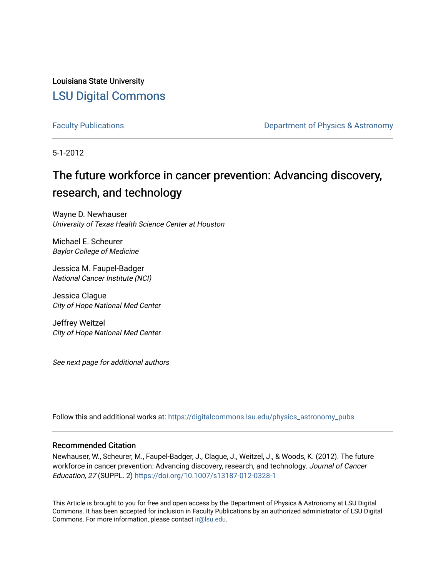Louisiana State University [LSU Digital Commons](https://digitalcommons.lsu.edu/)

[Faculty Publications](https://digitalcommons.lsu.edu/physics_astronomy_pubs) **Exercise 2 and Table 2 and Table 2 and Table 2 and Table 2 and Table 2 and Table 2 and Table 2 and Table 2 and Table 2 and Table 2 and Table 2 and Table 2 and Table 2 and Table 2 and Table 2 and Table** 

5-1-2012

# The future workforce in cancer prevention: Advancing discovery, research, and technology

Wayne D. Newhauser University of Texas Health Science Center at Houston

Michael E. Scheurer Baylor College of Medicine

Jessica M. Faupel-Badger National Cancer Institute (NCI)

Jessica Clague City of Hope National Med Center

Jeffrey Weitzel City of Hope National Med Center

See next page for additional authors

Follow this and additional works at: [https://digitalcommons.lsu.edu/physics\\_astronomy\\_pubs](https://digitalcommons.lsu.edu/physics_astronomy_pubs?utm_source=digitalcommons.lsu.edu%2Fphysics_astronomy_pubs%2F3708&utm_medium=PDF&utm_campaign=PDFCoverPages) 

# Recommended Citation

Newhauser, W., Scheurer, M., Faupel-Badger, J., Clague, J., Weitzel, J., & Woods, K. (2012). The future workforce in cancer prevention: Advancing discovery, research, and technology. Journal of Cancer Education, 27 (SUPPL. 2) <https://doi.org/10.1007/s13187-012-0328-1>

This Article is brought to you for free and open access by the Department of Physics & Astronomy at LSU Digital Commons. It has been accepted for inclusion in Faculty Publications by an authorized administrator of LSU Digital Commons. For more information, please contact [ir@lsu.edu](mailto:ir@lsu.edu).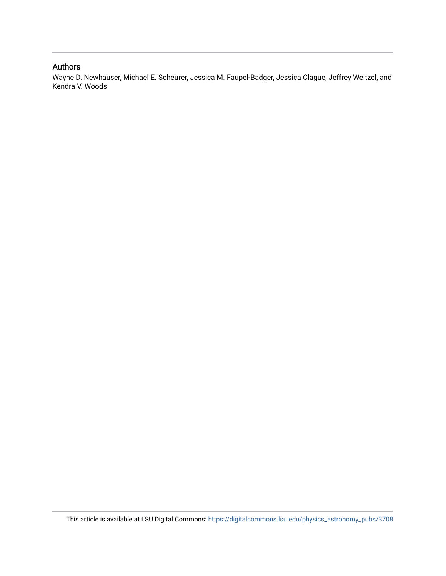# Authors

Wayne D. Newhauser, Michael E. Scheurer, Jessica M. Faupel-Badger, Jessica Clague, Jeffrey Weitzel, and Kendra V. Woods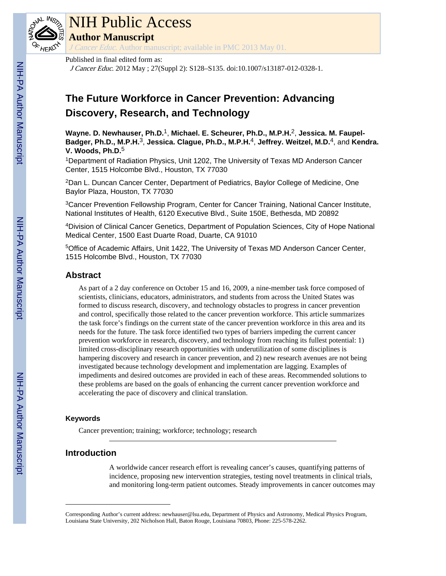

# NIH Public Access

**Author Manuscript**

J Cancer Educ. Author manuscript; available in PMC 2013 May 01.

# Published in final edited form as:

J Cancer Educ. 2012 May ; 27(Suppl 2): S128–S135. doi:10.1007/s13187-012-0328-1.

# **The Future Workforce in Cancer Prevention: Advancing Discovery, Research, and Technology**

**Wayne. D. Newhauser, Ph.D.**1, **Michael. E. Scheurer, Ph.D., M.P.H.**2, **Jessica. M. Faupel-Badger, Ph.D., M.P.H.**3, **Jessica. Clague, Ph.D., M.P.H.**4, **Jeffrey. Weitzel, M.D.**4, and **Kendra. V. Woods, Ph.D.**<sup>5</sup>

<sup>1</sup>Department of Radiation Physics, Unit 1202, The University of Texas MD Anderson Cancer Center, 1515 Holcombe Blvd., Houston, TX 77030

<sup>2</sup>Dan L. Duncan Cancer Center, Department of Pediatrics, Baylor College of Medicine, One Baylor Plaza, Houston, TX 77030

<sup>3</sup>Cancer Prevention Fellowship Program, Center for Cancer Training, National Cancer Institute, National Institutes of Health, 6120 Executive Blvd., Suite 150E, Bethesda, MD 20892

<sup>4</sup>Division of Clinical Cancer Genetics, Department of Population Sciences, City of Hope National Medical Center, 1500 East Duarte Road, Duarte, CA 91010

<sup>5</sup>Office of Academic Affairs, Unit 1422, The University of Texas MD Anderson Cancer Center, 1515 Holcombe Blvd., Houston, TX 77030

# **Abstract**

As part of a 2 day conference on October 15 and 16, 2009, a nine-member task force composed of scientists, clinicians, educators, administrators, and students from across the United States was formed to discuss research, discovery, and technology obstacles to progress in cancer prevention and control, specifically those related to the cancer prevention workforce. This article summarizes the task force's findings on the current state of the cancer prevention workforce in this area and its needs for the future. The task force identified two types of barriers impeding the current cancer prevention workforce in research, discovery, and technology from reaching its fullest potential: 1) limited cross-disciplinary research opportunities with underutilization of some disciplines is hampering discovery and research in cancer prevention, and 2) new research avenues are not being investigated because technology development and implementation are lagging. Examples of impediments and desired outcomes are provided in each of these areas. Recommended solutions to these problems are based on the goals of enhancing the current cancer prevention workforce and accelerating the pace of discovery and clinical translation.

## **Keywords**

Cancer prevention; training; workforce; technology; research

# **Introduction**

A worldwide cancer research effort is revealing cancer's causes, quantifying patterns of incidence, proposing new intervention strategies, testing novel treatments in clinical trials, and monitoring long-term patient outcomes. Steady improvements in cancer outcomes may

Corresponding Author's current address: newhauser@lsu.edu, Department of Physics and Astronomy, Medical Physics Program, Louisiana State University, 202 Nicholson Hall, Baton Rouge, Louisiana 70803, Phone: 225-578-2262.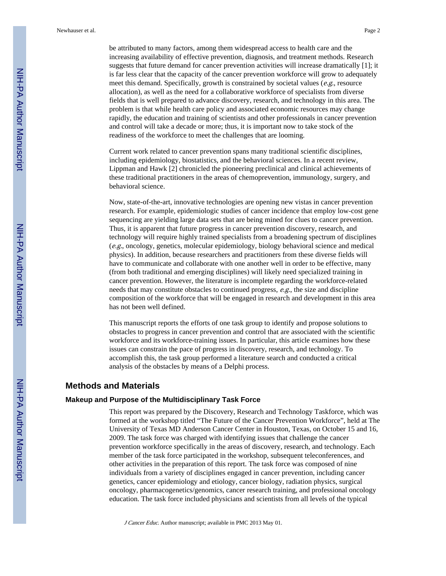be attributed to many factors, among them widespread access to health care and the increasing availability of effective prevention, diagnosis, and treatment methods. Research suggests that future demand for cancer prevention activities will increase dramatically [1]; it is far less clear that the capacity of the cancer prevention workforce will grow to adequately meet this demand. Specifically, growth is constrained by societal values (e.g., resource allocation), as well as the need for a collaborative workforce of specialists from diverse fields that is well prepared to advance discovery, research, and technology in this area. The problem is that while health care policy and associated economic resources may change rapidly, the education and training of scientists and other professionals in cancer prevention and control will take a decade or more; thus, it is important now to take stock of the readiness of the workforce to meet the challenges that are looming.

Current work related to cancer prevention spans many traditional scientific disciplines, including epidemiology, biostatistics, and the behavioral sciences. In a recent review, Lippman and Hawk [2] chronicled the pioneering preclinical and clinical achievements of these traditional practitioners in the areas of chemoprevention, immunology, surgery, and behavioral science.

Now, state-of-the-art, innovative technologies are opening new vistas in cancer prevention research. For example, epidemiologic studies of cancer incidence that employ low-cost gene sequencing are yielding large data sets that are being mined for clues to cancer prevention. Thus, it is apparent that future progress in cancer prevention discovery, research, and technology will require highly trained specialists from a broadening spectrum of disciplines (e.g., oncology, genetics, molecular epidemiology, biology behavioral science and medical physics). In addition, because researchers and practitioners from these diverse fields will have to communicate and collaborate with one another well in order to be effective, many (from both traditional and emerging disciplines) will likely need specialized training in cancer prevention. However, the literature is incomplete regarding the workforce-related needs that may constitute obstacles to continued progress, e.g., the size and discipline composition of the workforce that will be engaged in research and development in this area has not been well defined.

This manuscript reports the efforts of one task group to identify and propose solutions to obstacles to progress in cancer prevention and control that are associated with the scientific workforce and its workforce-training issues. In particular, this article examines how these issues can constrain the pace of progress in discovery, research, and technology. To accomplish this, the task group performed a literature search and conducted a critical analysis of the obstacles by means of a Delphi process.

# **Methods and Materials**

#### **Makeup and Purpose of the Multidisciplinary Task Force**

This report was prepared by the Discovery, Research and Technology Taskforce, which was formed at the workshop titled "The Future of the Cancer Prevention Workforce", held at The University of Texas MD Anderson Cancer Center in Houston, Texas, on October 15 and 16, 2009. The task force was charged with identifying issues that challenge the cancer prevention workforce specifically in the areas of discovery, research, and technology. Each member of the task force participated in the workshop, subsequent teleconferences, and other activities in the preparation of this report. The task force was composed of nine individuals from a variety of disciplines engaged in cancer prevention, including cancer genetics, cancer epidemiology and etiology, cancer biology, radiation physics, surgical oncology, pharmacogenetics/genomics, cancer research training, and professional oncology education. The task force included physicians and scientists from all levels of the typical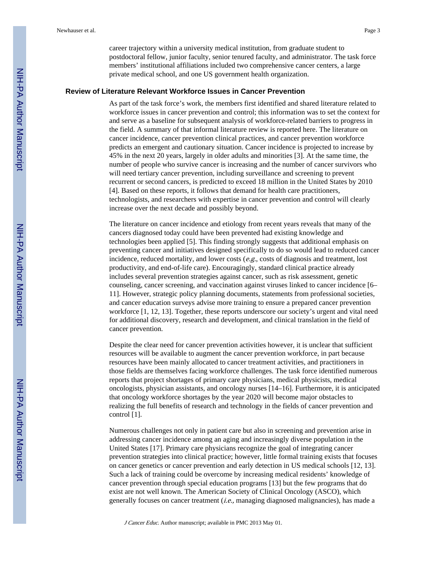career trajectory within a university medical institution, from graduate student to postdoctoral fellow, junior faculty, senior tenured faculty, and administrator. The task force members' institutional affiliations included two comprehensive cancer centers, a large private medical school, and one US government health organization.

#### **Review of Literature Relevant Workforce Issues in Cancer Prevention**

As part of the task force's work, the members first identified and shared literature related to workforce issues in cancer prevention and control; this information was to set the context for and serve as a baseline for subsequent analysis of workforce-related barriers to progress in the field. A summary of that informal literature review is reported here. The literature on cancer incidence, cancer prevention clinical practices, and cancer prevention workforce predicts an emergent and cautionary situation. Cancer incidence is projected to increase by 45% in the next 20 years, largely in older adults and minorities [3]. At the same time, the number of people who survive cancer is increasing and the number of cancer survivors who will need tertiary cancer prevention, including surveillance and screening to prevent recurrent or second cancers, is predicted to exceed 18 million in the United States by 2010 [4]. Based on these reports, it follows that demand for health care practitioners, technologists, and researchers with expertise in cancer prevention and control will clearly increase over the next decade and possibly beyond.

The literature on cancer incidence and etiology from recent years reveals that many of the cancers diagnosed today could have been prevented had existing knowledge and technologies been applied [5]. This finding strongly suggests that additional emphasis on preventing cancer and initiatives designed specifically to do so would lead to reduced cancer incidence, reduced mortality, and lower costs  $(e.g., \text{ costs of diagnosis and treatment, lost})$ productivity, and end-of-life care). Encouragingly, standard clinical practice already includes several prevention strategies against cancer, such as risk assessment, genetic counseling, cancer screening, and vaccination against viruses linked to cancer incidence [6– 11]. However, strategic policy planning documents, statements from professional societies, and cancer education surveys advise more training to ensure a prepared cancer prevention workforce [1, 12, 13]. Together, these reports underscore our society's urgent and vital need for additional discovery, research and development, and clinical translation in the field of cancer prevention.

Despite the clear need for cancer prevention activities however, it is unclear that sufficient resources will be available to augment the cancer prevention workforce, in part because resources have been mainly allocated to cancer treatment activities, and practitioners in those fields are themselves facing workforce challenges. The task force identified numerous reports that project shortages of primary care physicians, medical physicists, medical oncologists, physician assistants, and oncology nurses [14–16]. Furthermore, it is anticipated that oncology workforce shortages by the year 2020 will become major obstacles to realizing the full benefits of research and technology in the fields of cancer prevention and control [1].

Numerous challenges not only in patient care but also in screening and prevention arise in addressing cancer incidence among an aging and increasingly diverse population in the United States [17]. Primary care physicians recognize the goal of integrating cancer prevention strategies into clinical practice; however, little formal training exists that focuses on cancer genetics or cancer prevention and early detection in US medical schools [12, 13]. Such a lack of training could be overcome by increasing medical residents' knowledge of cancer prevention through special education programs [13] but the few programs that do exist are not well known. The American Society of Clinical Oncology (ASCO), which generally focuses on cancer treatment  $(i.e.,$  managing diagnosed malignancies), has made a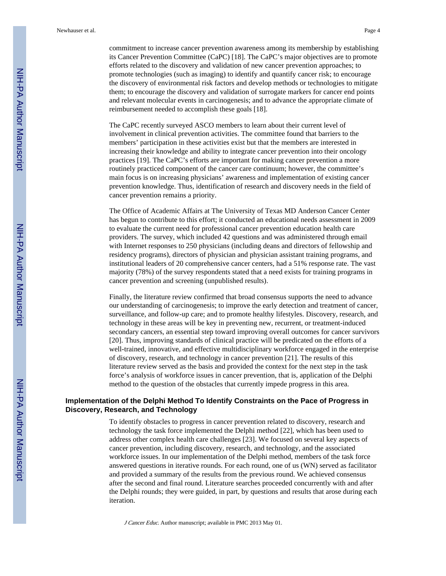commitment to increase cancer prevention awareness among its membership by establishing its Cancer Prevention Committee (CaPC) [18]. The CaPC's major objectives are to promote efforts related to the discovery and validation of new cancer prevention approaches; to promote technologies (such as imaging) to identify and quantify cancer risk; to encourage the discovery of environmental risk factors and develop methods or technologies to mitigate them; to encourage the discovery and validation of surrogate markers for cancer end points and relevant molecular events in carcinogenesis; and to advance the appropriate climate of reimbursement needed to accomplish these goals [18].

The CaPC recently surveyed ASCO members to learn about their current level of involvement in clinical prevention activities. The committee found that barriers to the members' participation in these activities exist but that the members are interested in increasing their knowledge and ability to integrate cancer prevention into their oncology practices [19]. The CaPC's efforts are important for making cancer prevention a more routinely practiced component of the cancer care continuum; however, the committee's main focus is on increasing physicians' awareness and implementation of existing cancer prevention knowledge. Thus, identification of research and discovery needs in the field of cancer prevention remains a priority.

The Office of Academic Affairs at The University of Texas MD Anderson Cancer Center has begun to contribute to this effort; it conducted an educational needs assessment in 2009 to evaluate the current need for professional cancer prevention education health care providers. The survey, which included 42 questions and was administered through email with Internet responses to 250 physicians (including deans and directors of fellowship and residency programs), directors of physician and physician assistant training programs, and institutional leaders of 20 comprehensive cancer centers, had a 51% response rate. The vast majority (78%) of the survey respondents stated that a need exists for training programs in cancer prevention and screening (unpublished results).

Finally, the literature review confirmed that broad consensus supports the need to advance our understanding of carcinogenesis; to improve the early detection and treatment of cancer, surveillance, and follow-up care; and to promote healthy lifestyles. Discovery, research, and technology in these areas will be key in preventing new, recurrent, or treatment-induced secondary cancers, an essential step toward improving overall outcomes for cancer survivors [20]. Thus, improving standards of clinical practice will be predicated on the efforts of a well-trained, innovative, and effective multidisciplinary workforce engaged in the enterprise of discovery, research, and technology in cancer prevention [21]. The results of this literature review served as the basis and provided the context for the next step in the task force's analysis of workforce issues in cancer prevention, that is, application of the Delphi method to the question of the obstacles that currently impede progress in this area.

# **Implementation of the Delphi Method To Identify Constraints on the Pace of Progress in Discovery, Research, and Technology**

To identify obstacles to progress in cancer prevention related to discovery, research and technology the task force implemented the Delphi method [22], which has been used to address other complex health care challenges [23]. We focused on several key aspects of cancer prevention, including discovery, research, and technology, and the associated workforce issues. In our implementation of the Delphi method, members of the task force answered questions in iterative rounds. For each round, one of us (WN) served as facilitator and provided a summary of the results from the previous round. We achieved consensus after the second and final round. Literature searches proceeded concurrently with and after the Delphi rounds; they were guided, in part, by questions and results that arose during each iteration.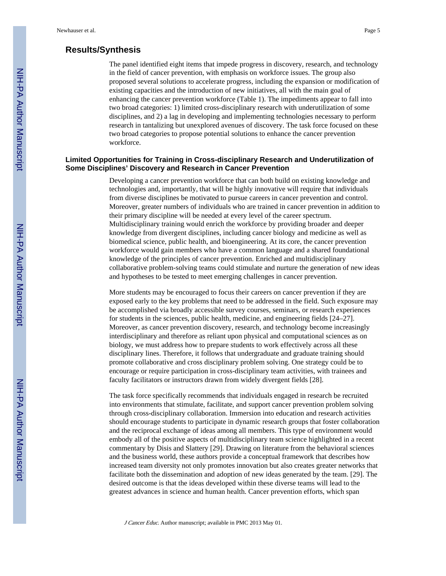# **Results/Synthesis**

The panel identified eight items that impede progress in discovery, research, and technology in the field of cancer prevention, with emphasis on workforce issues. The group also proposed several solutions to accelerate progress, including the expansion or modification of existing capacities and the introduction of new initiatives, all with the main goal of enhancing the cancer prevention workforce (Table 1). The impediments appear to fall into two broad categories: 1) limited cross-disciplinary research with underutilization of some disciplines, and 2) a lag in developing and implementing technologies necessary to perform research in tantalizing but unexplored avenues of discovery. The task force focused on these two broad categories to propose potential solutions to enhance the cancer prevention workforce.

#### **Limited Opportunities for Training in Cross-disciplinary Research and Underutilization of Some Disciplines' Discovery and Research in Cancer Prevention**

Developing a cancer prevention workforce that can both build on existing knowledge and technologies and, importantly, that will be highly innovative will require that individuals from diverse disciplines be motivated to pursue careers in cancer prevention and control. Moreover, greater numbers of individuals who are trained in cancer prevention in addition to their primary discipline will be needed at every level of the career spectrum. Multidisciplinary training would enrich the workforce by providing broader and deeper knowledge from divergent disciplines, including cancer biology and medicine as well as biomedical science, public health, and bioengineering. At its core, the cancer prevention workforce would gain members who have a common language and a shared foundational knowledge of the principles of cancer prevention. Enriched and multidisciplinary collaborative problem-solving teams could stimulate and nurture the generation of new ideas and hypotheses to be tested to meet emerging challenges in cancer prevention.

More students may be encouraged to focus their careers on cancer prevention if they are exposed early to the key problems that need to be addressed in the field. Such exposure may be accomplished via broadly accessible survey courses, seminars, or research experiences for students in the sciences, public health, medicine, and engineering fields [24–27]. Moreover, as cancer prevention discovery, research, and technology become increasingly interdisciplinary and therefore as reliant upon physical and computational sciences as on biology, we must address how to prepare students to work effectively across all these disciplinary lines. Therefore, it follows that undergraduate and graduate training should promote collaborative and cross disciplinary problem solving. One strategy could be to encourage or require participation in cross-disciplinary team activities, with trainees and faculty facilitators or instructors drawn from widely divergent fields [28].

The task force specifically recommends that individuals engaged in research be recruited into environments that stimulate, facilitate, and support cancer prevention problem solving through cross-disciplinary collaboration. Immersion into education and research activities should encourage students to participate in dynamic research groups that foster collaboration and the reciprocal exchange of ideas among all members. This type of environment would embody all of the positive aspects of multidisciplinary team science highlighted in a recent commentary by Disis and Slattery [29]. Drawing on literature from the behavioral sciences and the business world, these authors provide a conceptual framework that describes how increased team diversity not only promotes innovation but also creates greater networks that facilitate both the dissemination and adoption of new ideas generated by the team. [29]. The desired outcome is that the ideas developed within these diverse teams will lead to the greatest advances in science and human health. Cancer prevention efforts, which span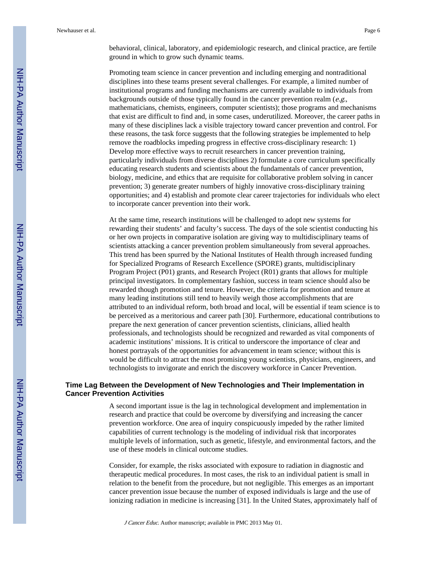behavioral, clinical, laboratory, and epidemiologic research, and clinical practice, are fertile ground in which to grow such dynamic teams.

Promoting team science in cancer prevention and including emerging and nontraditional disciplines into these teams present several challenges. For example, a limited number of institutional programs and funding mechanisms are currently available to individuals from backgrounds outside of those typically found in the cancer prevention realm  $(e.g.,)$ mathematicians, chemists, engineers, computer scientists); those programs and mechanisms that exist are difficult to find and, in some cases, underutilized. Moreover, the career paths in many of these disciplines lack a visible trajectory toward cancer prevention and control. For these reasons, the task force suggests that the following strategies be implemented to help remove the roadblocks impeding progress in effective cross-disciplinary research: 1) Develop more effective ways to recruit researchers in cancer prevention training, particularly individuals from diverse disciplines 2) formulate a core curriculum specifically educating research students and scientists about the fundamentals of cancer prevention, biology, medicine, and ethics that are requisite for collaborative problem solving in cancer prevention; 3) generate greater numbers of highly innovative cross-disciplinary training opportunities; and 4) establish and promote clear career trajectories for individuals who elect to incorporate cancer prevention into their work.

At the same time, research institutions will be challenged to adopt new systems for rewarding their students' and faculty's success. The days of the sole scientist conducting his or her own projects in comparative isolation are giving way to multidisciplinary teams of scientists attacking a cancer prevention problem simultaneously from several approaches. This trend has been spurred by the National Institutes of Health through increased funding for Specialized Programs of Research Excellence (SPORE) grants, multidisciplinary Program Project (P01) grants, and Research Project (R01) grants that allows for multiple principal investigators. In complementary fashion, success in team science should also be rewarded though promotion and tenure. However, the criteria for promotion and tenure at many leading institutions still tend to heavily weigh those accomplishments that are attributed to an individual reform, both broad and local, will be essential if team science is to be perceived as a meritorious and career path [30]. Furthermore, educational contributions to prepare the next generation of cancer prevention scientists, clinicians, allied health professionals, and technologists should be recognized and rewarded as vital components of academic institutions' missions. It is critical to underscore the importance of clear and honest portrayals of the opportunities for advancement in team science; without this is would be difficult to attract the most promising young scientists, physicians, engineers, and technologists to invigorate and enrich the discovery workforce in Cancer Prevention.

## **Time Lag Between the Development of New Technologies and Their Implementation in Cancer Prevention Activities**

A second important issue is the lag in technological development and implementation in research and practice that could be overcome by diversifying and increasing the cancer prevention workforce. One area of inquiry conspicuously impeded by the rather limited capabilities of current technology is the modeling of individual risk that incorporates multiple levels of information, such as genetic, lifestyle, and environmental factors, and the use of these models in clinical outcome studies.

Consider, for example, the risks associated with exposure to radiation in diagnostic and therapeutic medical procedures. In most cases, the risk to an individual patient is small in relation to the benefit from the procedure, but not negligible. This emerges as an important cancer prevention issue because the number of exposed individuals is large and the use of ionizing radiation in medicine is increasing [31]. In the United States, approximately half of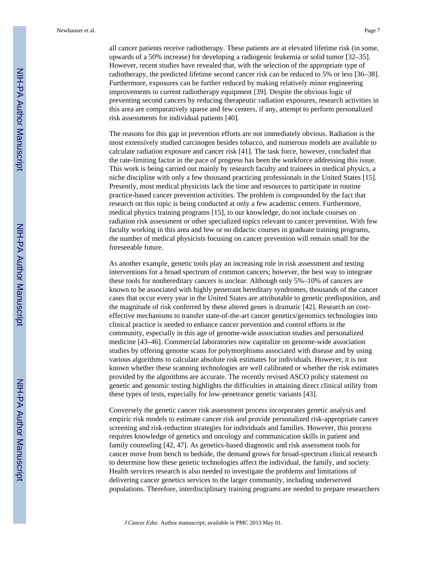all cancer patients receive radiotherapy. These patients are at elevated lifetime risk (in some, upwards of a 50% increase) for developing a radiogenic leukemia or solid tumor [32–35]. However, recent studies have revealed that, with the selection of the appropriate type of radiotherapy, the predicted lifetime second cancer risk can be reduced to 5% or less [36–38]. Furthermore, exposures can be further reduced by making relatively minor engineering improvements to current radiotherapy equipment [39]. Despite the obvious logic of preventing second cancers by reducing therapeutic radiation exposures, research activities in this area are comparatively sparse and few centers, if any, attempt to perform personalized risk assessments for individual patients [40].

The reasons for this gap in prevention efforts are not immediately obvious. Radiation is the most extensively studied carcinogen besides tobacco, and numerous models are available to calculate radiation exposure and cancer risk [41]. The task force, however, concluded that the rate-limiting factor in the pace of progress has been the workforce addressing this issue. This work is being carried out mainly by research faculty and trainees in medical physics, a niche discipline with only a few thousand practicing professionals in the United States [15]. Presently, most medical physicists lack the time and resources to participate in routine practice-based cancer prevention activities. The problem is compounded by the fact that research on this topic is being conducted at only a few academic centers. Furthermore, medical physics training programs [15], to our knowledge, do not include courses on radiation risk assessment or other specialized topics relevant to cancer prevention. With few faculty working in this area and few or no didactic courses in graduate training programs, the number of medical physicists focusing on cancer prevention will remain small for the foreseeable future.

As another example, genetic tools play an increasing role in risk assessment and testing interventions for a broad spectrum of common cancers; however, the best way to integrate these tools for nonhereditary cancers is unclear. Although only 5%–10% of cancers are known to be associated with highly penetrant hereditary syndromes, thousands of the cancer cases that occur every year in the United States are attributable to genetic predisposition, and the magnitude of risk conferred by these altered genes is dramatic [42]. Research on costeffective mechanisms to transfer state-of-the-art cancer genetics/genomics technologies into clinical practice is needed to enhance cancer prevention and control efforts in the community, especially in this age of genome-wide association studies and personalized medicine [43–46]. Commercial laboratories now capitalize on genome-wide association studies by offering genome scans for polymorphisms associated with disease and by using various algorithms to calculate absolute risk estimates for individuals. However, it is not known whether these scanning technologies are well calibrated or whether the risk estimates provided by the algorithms are accurate. The recently revised ASCO policy statement on genetic and genomic testing highlights the difficulties in attaining direct clinical utility from these types of tests, especially for low-penetrance genetic variants [43].

Conversely the genetic cancer risk assessment process incorporates genetic analysis and empiric risk models to estimate cancer risk and provide personalized risk-appropriate cancer screening and risk-reduction strategies for individuals and families. However, this process requires knowledge of genetics and oncology and communication skills in patient and family counseling [42, 47]. As genetics-based diagnostic and risk assessment tools for cancer move from bench to bedside, the demand grows for broad-spectrum clinical research to determine how these genetic technologies affect the individual, the family, and society. Health services research is also needed to investigate the problems and limitations of delivering cancer genetics services to the larger community, including underserved populations. Therefore, interdisciplinary training programs are needed to prepare researchers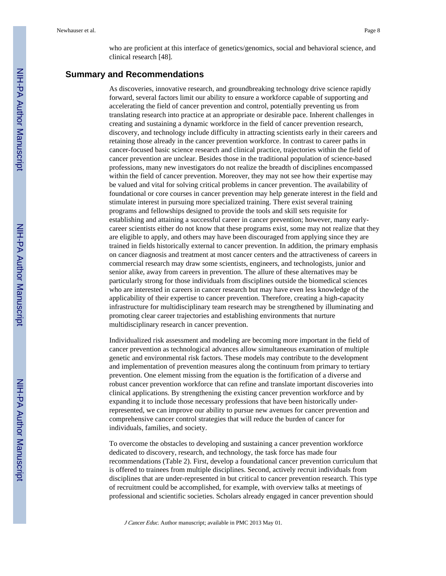who are proficient at this interface of genetics/genomics, social and behavioral science, and clinical research [48].

# **Summary and Recommendations**

As discoveries, innovative research, and groundbreaking technology drive science rapidly forward, several factors limit our ability to ensure a workforce capable of supporting and accelerating the field of cancer prevention and control, potentially preventing us from translating research into practice at an appropriate or desirable pace. Inherent challenges in creating and sustaining a dynamic workforce in the field of cancer prevention research, discovery, and technology include difficulty in attracting scientists early in their careers and retaining those already in the cancer prevention workforce. In contrast to career paths in cancer-focused basic science research and clinical practice, trajectories within the field of cancer prevention are unclear. Besides those in the traditional population of science-based professions, many new investigators do not realize the breadth of disciplines encompassed within the field of cancer prevention. Moreover, they may not see how their expertise may be valued and vital for solving critical problems in cancer prevention. The availability of foundational or core courses in cancer prevention may help generate interest in the field and stimulate interest in pursuing more specialized training. There exist several training programs and fellowships designed to provide the tools and skill sets requisite for establishing and attaining a successful career in cancer prevention; however, many earlycareer scientists either do not know that these programs exist, some may not realize that they are eligible to apply, and others may have been discouraged from applying since they are trained in fields historically external to cancer prevention. In addition, the primary emphasis on cancer diagnosis and treatment at most cancer centers and the attractiveness of careers in commercial research may draw some scientists, engineers, and technologists, junior and senior alike, away from careers in prevention. The allure of these alternatives may be particularly strong for those individuals from disciplines outside the biomedical sciences who are interested in careers in cancer research but may have even less knowledge of the applicability of their expertise to cancer prevention. Therefore, creating a high-capacity infrastructure for multidisciplinary team research may be strengthened by illuminating and promoting clear career trajectories and establishing environments that nurture multidisciplinary research in cancer prevention.

Individualized risk assessment and modeling are becoming more important in the field of cancer prevention as technological advances allow simultaneous examination of multiple genetic and environmental risk factors. These models may contribute to the development and implementation of prevention measures along the continuum from primary to tertiary prevention. One element missing from the equation is the fortification of a diverse and robust cancer prevention workforce that can refine and translate important discoveries into clinical applications. By strengthening the existing cancer prevention workforce and by expanding it to include those necessary professions that have been historically underrepresented, we can improve our ability to pursue new avenues for cancer prevention and comprehensive cancer control strategies that will reduce the burden of cancer for individuals, families, and society.

To overcome the obstacles to developing and sustaining a cancer prevention workforce dedicated to discovery, research, and technology, the task force has made four recommendations (Table 2). First, develop a foundational cancer prevention curriculum that is offered to trainees from multiple disciplines. Second, actively recruit individuals from disciplines that are under-represented in but critical to cancer prevention research. This type of recruitment could be accomplished, for example, with overview talks at meetings of professional and scientific societies. Scholars already engaged in cancer prevention should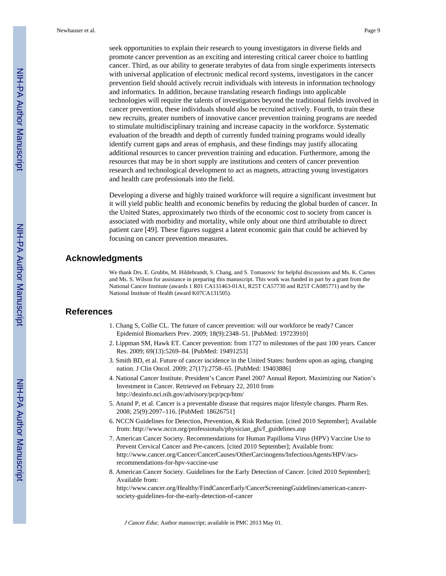seek opportunities to explain their research to young investigators in diverse fields and promote cancer prevention as an exciting and interesting critical career choice to battling cancer. Third, as our ability to generate terabytes of data from single experiments intersects with universal application of electronic medical record systems, investigators in the cancer prevention field should actively recruit individuals with interests in information technology and informatics. In addition, because translating research findings into applicable technologies will require the talents of investigators beyond the traditional fields involved in cancer prevention, these individuals should also be recruited actively. Fourth, to train these new recruits, greater numbers of innovative cancer prevention training programs are needed to stimulate multidisciplinary training and increase capacity in the workforce. Systematic evaluation of the breadth and depth of currently funded training programs would ideally identify current gaps and areas of emphasis, and these findings may justify allocating additional resources to cancer prevention training and education. Furthermore, among the resources that may be in short supply are institutions and centers of cancer prevention research and technological development to act as magnets, attracting young investigators and health care professionals into the field.

Developing a diverse and highly trained workforce will require a significant investment but it will yield public health and economic benefits by reducing the global burden of cancer. In the United States, approximately two thirds of the economic cost to society from cancer is associated with morbidity and mortality, while only about one third attributable to direct patient care [49]. These figures suggest a latent economic gain that could be achieved by focusing on cancer prevention measures.

# **Acknowledgments**

We thank Drs. E. Grubbs, M. Hildebrandt, S. Chang, and S. Tomasovic for helpful discussions and Ms. K. Carnes and Ms. S. Wilson for assistance in preparing this manuscript. This work was funded in part by a grant from the National Cancer Institute (awards 1 R01 CA131463-01A1, R25T CA57730 and R25T CA085771) and by the National Institute of Health (award K07CA131505).

# **References**

- 1. Chang S, Collie CL. The future of cancer prevention: will our workforce be ready? Cancer Epidemiol Biomarkers Prev. 2009; 18(9):2348–51. [PubMed: 19723910]
- 2. Lippman SM, Hawk ET. Cancer prevention: from 1727 to milestones of the past 100 years. Cancer Res. 2009; 69(13):5269–84. [PubMed: 19491253]
- 3. Smith BD, et al. Future of cancer incidence in the United States: burdens upon an aging, changing nation. J Clin Oncol. 2009; 27(17):2758–65. [PubMed: 19403886]
- 4. National Cancer Institute. President's Cancer Panel 2007 Annual Report. Maximizing our Nation's Investment in Cancer. Retrieved on February 22, 2010 from <http://deainfo.nci.nih.gov/advisory/pcp/pcp/htm/>
- 5. Anand P, et al. Cancer is a preventable disease that requires major lifestyle changes. Pharm Res. 2008; 25(9):2097–116. [PubMed: 18626751]
- 6. NCCN Guidelines for Detection, Prevention, & Risk Reduction. [cited 2010 September]; Available from: [http://www.nccn.org/professionals/physician\\_gls/f\\_guidelines.asp](http://www.nccn.org/professionals/physician_gls/f_guidelines.asp)
- 7. American Cancer Society. Recommendations for Human Papilloma Virus (HPV) Vaccine Use to Prevent Cervical Cancer and Pre-cancers. [cited 2010 September]; Available from: [http://www.cancer.org/Cancer/CancerCauses/OtherCarcinogens/InfectiousAgents/HPV/acs](http://www.cancer.org/Cancer/CancerCauses/OtherCarcinogens/InfectiousAgents/HPV/acs-recommendations-for-hpv-vaccine-use)[recommendations-for-hpv-vaccine-use](http://www.cancer.org/Cancer/CancerCauses/OtherCarcinogens/InfectiousAgents/HPV/acs-recommendations-for-hpv-vaccine-use)
- 8. American Cancer Society. Guidelines for the Early Detection of Cancer. [cited 2010 September]; Available from:

[http://www.cancer.org/Healthy/FindCancerEarly/CancerScreeningGuidelines/american-cancer](http://www.cancer.org/Healthy/FindCancerEarly/CancerScreeningGuidelines/american-cancer-society-guidelines-for-the-early-detection-of-cancer)[society-guidelines-for-the-early-detection-of-cancer](http://www.cancer.org/Healthy/FindCancerEarly/CancerScreeningGuidelines/american-cancer-society-guidelines-for-the-early-detection-of-cancer)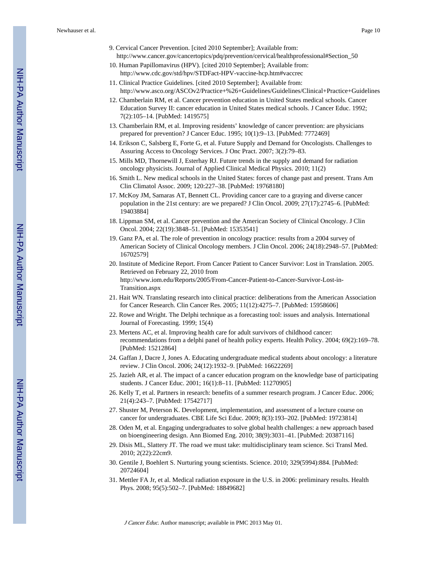Newhauser et al. Page 10

- 9. Cervical Cancer Prevention. [cited 2010 September]; Available from: [http://www.cancer.gov/cancertopics/pdq/prevention/cervical/healthprofessional#Section\\_50](http://www.cancer.gov/cancertopics/pdq/prevention/cervical/healthprofessional#Section_50)
- 10. Human Papillomavirus (HPV). [cited 2010 September]; Available from: <http://www.cdc.gov/std/hpv/STDFact-HPV-vaccine-hcp.htm#vaccrec>
- 11. Clinical Practice Guidelines. [cited 2010 September]; Available from: <http://www.asco.org/ASCOv2/Practice+%26+Guidelines/Guidelines/Clinical+Practice+Guidelines>
- 12. Chamberlain RM, et al. Cancer prevention education in United States medical schools. Cancer Education Survey II: cancer education in United States medical schools. J Cancer Educ. 1992; 7(2):105–14. [PubMed: 1419575]
- 13. Chamberlain RM, et al. Improving residents' knowledge of cancer prevention: are physicians prepared for prevention? J Cancer Educ. 1995; 10(1):9–13. [PubMed: 7772469]
- 14. Erikson C, Salsberg E, Forte G, et al. Future Supply and Demand for Oncologists. Challenges to Assuring Access to Oncology Services. J Onc Pract. 2007; 3(2):79–83.
- 15. Mills MD, Thornewill J, Esterhay RJ. Future trends in the supply and demand for radiation oncology physicists. Journal of Applied Clinical Medical Physics. 2010; 11(2)
- 16. Smith L. New medical schools in the United States: forces of change past and present. Trans Am Clin Climatol Assoc. 2009; 120:227–38. [PubMed: 19768180]
- 17. McKoy JM, Samaras AT, Bennett CL. Providing cancer care to a graying and diverse cancer population in the 21st century: are we prepared? J Clin Oncol. 2009; 27(17):2745–6. [PubMed: 19403884]
- 18. Lippman SM, et al. Cancer prevention and the American Society of Clinical Oncology. J Clin Oncol. 2004; 22(19):3848–51. [PubMed: 15353541]
- 19. Ganz PA, et al. The role of prevention in oncology practice: results from a 2004 survey of American Society of Clinical Oncology members. J Clin Oncol. 2006; 24(18):2948–57. [PubMed: 16702579]
- 20. Institute of Medicine Report. From Cancer Patient to Cancer Survivor: Lost in Translation. 2005. Retrieved on February 22, 2010 from [http://www.iom.edu/Reports/2005/From-Cancer-Patient-to-Cancer-Survivor-Lost-in-](http://www.iom.edu/Reports/2005/From-Cancer-Patient-to-Cancer-Survivor-Lost-in-Transition.aspx)[Transition.aspx](http://www.iom.edu/Reports/2005/From-Cancer-Patient-to-Cancer-Survivor-Lost-in-Transition.aspx)
- 21. Hait WN. Translating research into clinical practice: deliberations from the American Association for Cancer Research. Clin Cancer Res. 2005; 11(12):4275–7. [PubMed: 15958606]
- 22. Rowe and Wright. The Delphi technique as a forecasting tool: issues and analysis. International Journal of Forecasting. 1999; 15(4)
- 23. Mertens AC, et al. Improving health care for adult survivors of childhood cancer: recommendations from a delphi panel of health policy experts. Health Policy. 2004; 69(2):169–78. [PubMed: 15212864]
- 24. Gaffan J, Dacre J, Jones A. Educating undergraduate medical students about oncology: a literature review. J Clin Oncol. 2006; 24(12):1932–9. [PubMed: 16622269]
- 25. Jazieh AR, et al. The impact of a cancer education program on the knowledge base of participating students. J Cancer Educ. 2001; 16(1):8–11. [PubMed: 11270905]
- 26. Kelly T, et al. Partners in research: benefits of a summer research program. J Cancer Educ. 2006; 21(4):243–7. [PubMed: 17542717]
- 27. Shuster M, Peterson K. Development, implementation, and assessment of a lecture course on cancer for undergraduates. CBE Life Sci Educ. 2009; 8(3):193–202. [PubMed: 19723814]
- 28. Oden M, et al. Engaging undergraduates to solve global health challenges: a new approach based on bioengineering design. Ann Biomed Eng. 2010; 38(9):3031–41. [PubMed: 20387116]
- 29. Disis ML, Slattery JT. The road we must take: multidisciplinary team science. Sci Transl Med. 2010; 2(22):22cm9.
- 30. Gentile J, Boehlert S. Nurturing young scientists. Science. 2010; 329(5994):884. [PubMed: 20724604]
- 31. Mettler FA Jr, et al. Medical radiation exposure in the U.S. in 2006: preliminary results. Health Phys. 2008; 95(5):502–7. [PubMed: 18849682]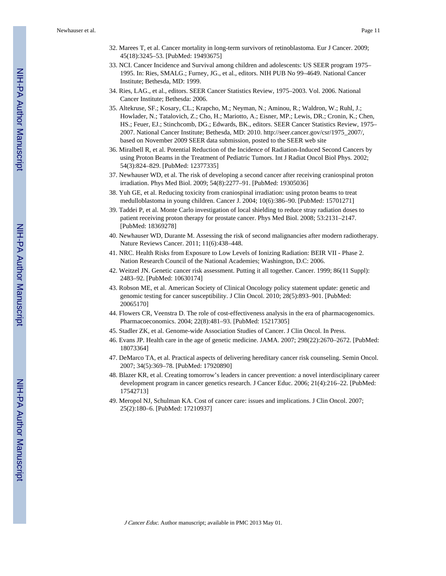- 32. Marees T, et al. Cancer mortality in long-term survivors of retinoblastoma. Eur J Cancer. 2009; 45(18):3245–53. [PubMed: 19493675]
- 33. NCI. Cancer Incidence and Survival among children and adolescents: US SEER program 1975– 1995. In: Ries, SMALG.; Furney, JG., et al., editors. NIH PUB No 99–4649. National Cancer Institute; Bethesda, MD: 1999.
- 34. Ries, LAG., et al., editors. SEER Cancer Statistics Review, 1975–2003. Vol. 2006. National Cancer Institute; Bethesda: 2006.
- 35. Altekruse, SF.; Kosary, CL.; Krapcho, M.; Neyman, N.; Aminou, R.; Waldron, W.; Ruhl, J.; Howlader, N.; Tatalovich, Z.; Cho, H.; Mariotto, A.; Eisner, MP.; Lewis, DR.; Cronin, K.; Chen, HS.; Feuer, EJ.; Stinchcomb, DG.; Edwards, BK., editors. SEER Cancer Statistics Review, 1975– 2007. National Cancer Institute; Bethesda, MD: 2010. [http://seer.cancer.gov/csr/1975\\_2007/,](http://seer.cancer.gov/csr/1975_2007/) based on November 2009 SEER data submission, posted to the SEER web site
- 36. Miralbell R, et al. Potential Reduction of the Incidence of Radiation-Induced Second Cancers by using Proton Beams in the Treatment of Pediatric Tumors. Int J Radiat Oncol Biol Phys. 2002; 54(3):824–829. [PubMed: 12377335]
- 37. Newhauser WD, et al. The risk of developing a second cancer after receiving craniospinal proton irradiation. Phys Med Biol. 2009; 54(8):2277–91. [PubMed: 19305036]
- 38. Yuh GE, et al. Reducing toxicity from craniospinal irradiation: using proton beams to treat medulloblastoma in young children. Cancer J. 2004; 10(6):386–90. [PubMed: 15701271]
- 39. Taddei P, et al. Monte Carlo investigation of local shielding to reduce stray radiation doses to patient receiving proton therapy for prostate cancer. Phys Med Biol. 2008; 53:2131–2147. [PubMed: 18369278]
- 40. Newhauser WD, Durante M. Assessing the risk of second malignancies after modern radiotherapy. Nature Reviews Cancer. 2011; 11(6):438–448.
- 41. NRC. Health Risks from Exposure to Low Levels of Ionizing Radiation: BEIR VII Phase 2. Nation Research Council of the National Academies; Washington, D.C: 2006.
- 42. Weitzel JN. Genetic cancer risk assessment. Putting it all together. Cancer. 1999; 86(11 Suppl): 2483–92. [PubMed: 10630174]
- 43. Robson ME, et al. American Society of Clinical Oncology policy statement update: genetic and genomic testing for cancer susceptibility. J Clin Oncol. 2010; 28(5):893–901. [PubMed: 20065170]
- 44. Flowers CR, Veenstra D. The role of cost-effectiveness analysis in the era of pharmacogenomics. Pharmacoeconomics. 2004; 22(8):481–93. [PubMed: 15217305]
- 45. Stadler ZK, et al. Genome-wide Association Studies of Cancer. J Clin Oncol. In Press.
- 46. Evans JP. Health care in the age of genetic medicine. JAMA. 2007; 298(22):2670–2672. [PubMed: 18073364]
- 47. DeMarco TA, et al. Practical aspects of delivering hereditary cancer risk counseling. Semin Oncol. 2007; 34(5):369–78. [PubMed: 17920890]
- 48. Blazer KR, et al. Creating tomorrow's leaders in cancer prevention: a novel interdisciplinary career development program in cancer genetics research. J Cancer Educ. 2006; 21(4):216–22. [PubMed: 17542713]
- 49. Meropol NJ, Schulman KA. Cost of cancer care: issues and implications. J Clin Oncol. 2007; 25(2):180–6. [PubMed: 17210937]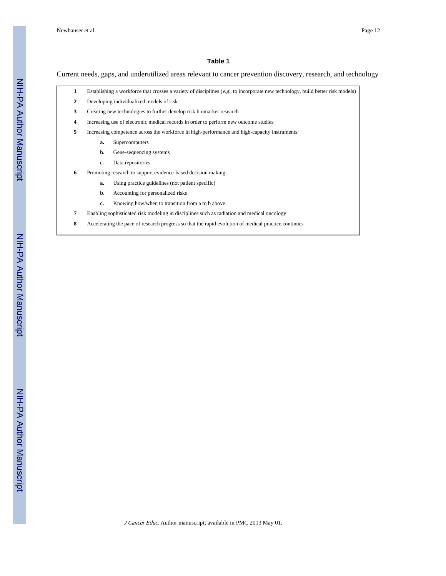#### **Table 1**

Current needs, gaps, and underutilized areas relevant to cancer prevention discovery, research, and technology

- **1** Establishing a workforce that crosses a variety of disciplines (e.g., to incorporate new technology, build better risk models)
- **2** Developing individualized models of risk
- **3** Creating new technologies to further develop risk biomarker research
- **4** Increasing use of electronic medical records in order to perform new outcome studies
- **5** Increasing competence across the workforce in high-performance and high-capacity instruments:
	- **a.** Supercomputers
	- **b.** Gene-sequencing systems
	- **c.** Data repositories
- **6** Promoting research to support evidence-based decision making:
	- **a.** Using practice guidelines (not patient specific)
	- **b.** Accounting for personalized risks
	- **c.** Knowing how/when to transition from a to b above
- **7** Enabling sophisticated risk modeling in disciplines such as radiation and medical oncology
- **8** Accelerating the pace of research progress so that the rapid evolution of medical practice continues